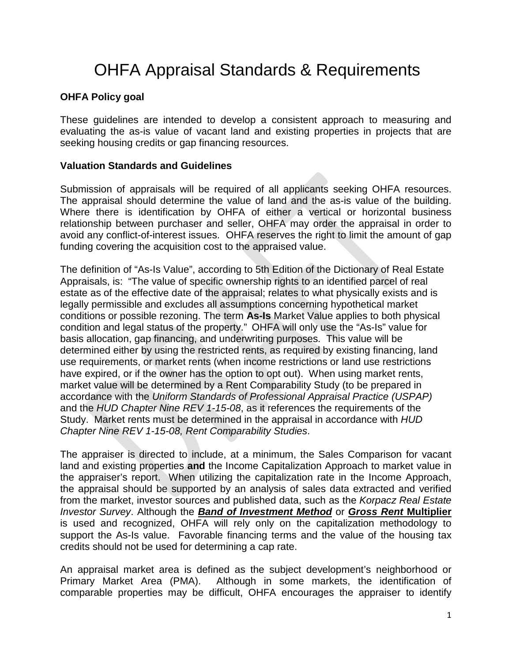# OHFA Appraisal Standards & Requirements

## **OHFA Policy goal**

These guidelines are intended to develop a consistent approach to measuring and evaluating the as-is value of vacant land and existing properties in projects that are seeking housing credits or gap financing resources.

#### **Valuation Standards and Guidelines**

Submission of appraisals will be required of all applicants seeking OHFA resources. The appraisal should determine the value of land and the as-is value of the building. Where there is identification by OHFA of either a vertical or horizontal business relationship between purchaser and seller, OHFA may order the appraisal in order to avoid any conflict-of-interest issues. OHFA reserves the right to limit the amount of gap funding covering the acquisition cost to the appraised value.

The definition of "As-Is Value", according to 5th Edition of the Dictionary of Real Estate Appraisals, is: "The value of specific ownership rights to an identified parcel of real estate as of the effective date of the appraisal; relates to what physically exists and is legally permissible and excludes all assumptions concerning hypothetical market conditions or possible rezoning. The term **As-Is** Market Value applies to both physical condition and legal status of the property." OHFA will only use the "As-Is" value for basis allocation, gap financing, and underwriting purposes. This value will be determined either by using the restricted rents, as required by existing financing, land use requirements, or market rents (when income restrictions or land use restrictions have expired, or if the owner has the option to opt out). When using market rents, market value will be determined by a Rent Comparability Study (to be prepared in accordance with the *Uniform Standards of Professional Appraisal Practice (USPAP)* and the *HUD Chapter Nine REV 1-15-08*, as it references the requirements of the Study. Market rents must be determined in the appraisal in accordance with *HUD Chapter Nine REV 1-15-08, Rent Comparability Studies*.

The appraiser is directed to include, at a minimum, the Sales Comparison for vacant land and existing properties **and** the Income Capitalization Approach to market value in the appraiser's report. When utilizing the capitalization rate in the Income Approach, the appraisal should be supported by an analysis of sales data extracted and verified from the market, investor sources and published data, such as the *Korpacz Real Estate Investor Survey*. Although the *Band of Investment Method* or *Gross Rent* **Multiplier** is used and recognized, OHFA will rely only on the capitalization methodology to support the As-Is value. Favorable financing terms and the value of the housing tax credits should not be used for determining a cap rate.

An appraisal market area is defined as the subject development's neighborhood or Primary Market Area (PMA). Although in some markets, the identification of comparable properties may be difficult, OHFA encourages the appraiser to identify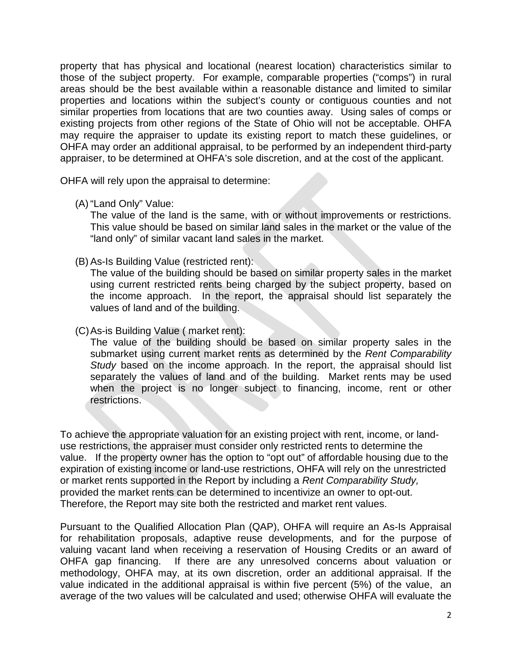property that has physical and locational (nearest location) characteristics similar to those of the subject property. For example, comparable properties ("comps") in rural areas should be the best available within a reasonable distance and limited to similar properties and locations within the subject's county or contiguous counties and not similar properties from locations that are two counties away. Using sales of comps or existing projects from other regions of the State of Ohio will not be acceptable. OHFA may require the appraiser to update its existing report to match these guidelines, or OHFA may order an additional appraisal, to be performed by an independent third-party appraiser, to be determined at OHFA's sole discretion, and at the cost of the applicant.

OHFA will rely upon the appraisal to determine:

(A) "Land Only" Value:

The value of the land is the same, with or without improvements or restrictions. This value should be based on similar land sales in the market or the value of the "land only" of similar vacant land sales in the market.

(B) As-Is Building Value (restricted rent):

The value of the building should be based on similar property sales in the market using current restricted rents being charged by the subject property, based on the income approach. In the report, the appraisal should list separately the values of land and of the building.

(C)As-is Building Value ( market rent):

The value of the building should be based on similar property sales in the submarket using current market rents as determined by the *Rent Comparability Study* based on the income approach. In the report, the appraisal should list separately the values of land and of the building. Market rents may be used when the project is no longer subject to financing, income, rent or other restrictions.

To achieve the appropriate valuation for an existing project with rent, income, or landuse restrictions, the appraiser must consider only restricted rents to determine the value. If the property owner has the option to "opt out" of affordable housing due to the expiration of existing income or land-use restrictions, OHFA will rely on the unrestricted or market rents supported in the Report by including a *Rent Comparability Study,* provided the market rents can be determined to incentivize an owner to opt-out. Therefore, the Report may site both the restricted and market rent values.

Pursuant to the Qualified Allocation Plan (QAP), OHFA will require an As-Is Appraisal for rehabilitation proposals, adaptive reuse developments, and for the purpose of valuing vacant land when receiving a reservation of Housing Credits or an award of OHFA gap financing. If there are any unresolved concerns about valuation or methodology, OHFA may, at its own discretion, order an additional appraisal. If the value indicated in the additional appraisal is within five percent (5%) of the value, an average of the two values will be calculated and used; otherwise OHFA will evaluate the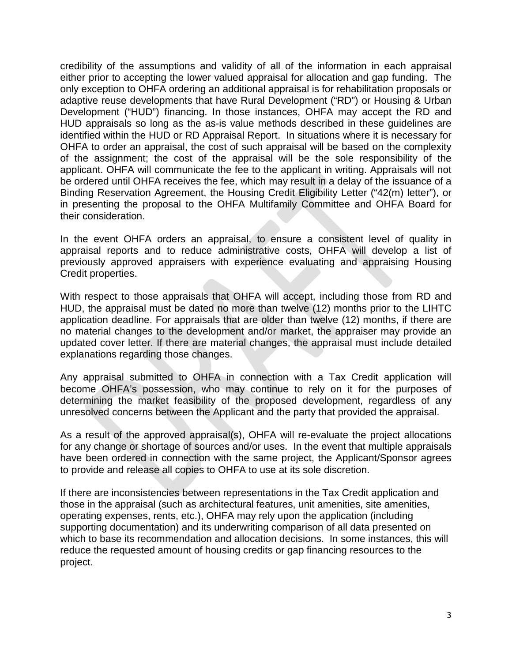credibility of the assumptions and validity of all of the information in each appraisal either prior to accepting the lower valued appraisal for allocation and gap funding. The only exception to OHFA ordering an additional appraisal is for rehabilitation proposals or adaptive reuse developments that have Rural Development ("RD") or Housing & Urban Development ("HUD") financing. In those instances, OHFA may accept the RD and HUD appraisals so long as the as-is value methods described in these guidelines are identified within the HUD or RD Appraisal Report. In situations where it is necessary for OHFA to order an appraisal, the cost of such appraisal will be based on the complexity of the assignment; the cost of the appraisal will be the sole responsibility of the applicant. OHFA will communicate the fee to the applicant in writing. Appraisals will not be ordered until OHFA receives the fee, which may result in a delay of the issuance of a Binding Reservation Agreement, the Housing Credit Eligibility Letter ("42(m) letter"), or in presenting the proposal to the OHFA Multifamily Committee and OHFA Board for their consideration.

In the event OHFA orders an appraisal, to ensure a consistent level of quality in appraisal reports and to reduce administrative costs, OHFA will develop a list of previously approved appraisers with experience evaluating and appraising Housing Credit properties.

With respect to those appraisals that OHFA will accept, including those from RD and HUD, the appraisal must be dated no more than twelve (12) months prior to the LIHTC application deadline. For appraisals that are older than twelve (12) months, if there are no material changes to the development and/or market, the appraiser may provide an updated cover letter. If there are material changes, the appraisal must include detailed explanations regarding those changes.

Any appraisal submitted to OHFA in connection with a Tax Credit application will become OHFA's possession, who may continue to rely on it for the purposes of determining the market feasibility of the proposed development, regardless of any unresolved concerns between the Applicant and the party that provided the appraisal.

As a result of the approved appraisal(s), OHFA will re-evaluate the project allocations for any change or shortage of sources and/or uses. In the event that multiple appraisals have been ordered in connection with the same project, the Applicant/Sponsor agrees to provide and release all copies to OHFA to use at its sole discretion.

If there are inconsistencies between representations in the Tax Credit application and those in the appraisal (such as architectural features, unit amenities, site amenities, operating expenses, rents, etc.), OHFA may rely upon the application (including supporting documentation) and its underwriting comparison of all data presented on which to base its recommendation and allocation decisions. In some instances, this will reduce the requested amount of housing credits or gap financing resources to the project.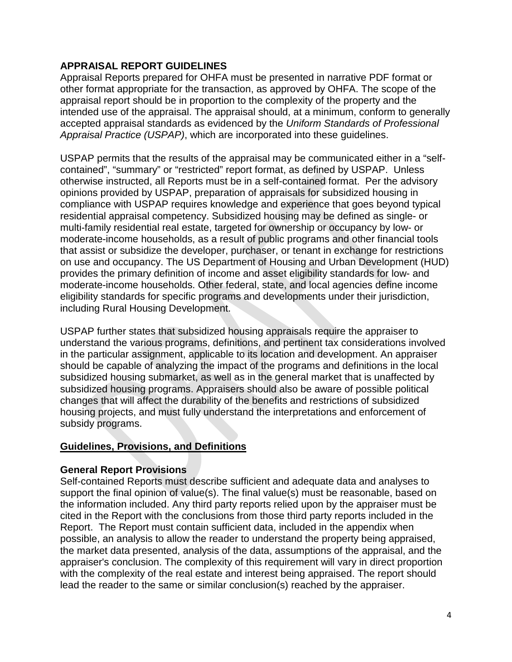## **APPRAISAL REPORT GUIDELINES**

Appraisal Reports prepared for OHFA must be presented in narrative PDF format or other format appropriate for the transaction, as approved by OHFA. The scope of the appraisal report should be in proportion to the complexity of the property and the intended use of the appraisal. The appraisal should, at a minimum, conform to generally accepted appraisal standards as evidenced by the *Uniform Standards of Professional Appraisal Practice (USPAP)*, which are incorporated into these guidelines.

USPAP permits that the results of the appraisal may be communicated either in a "selfcontained", "summary" or "restricted" report format, as defined by USPAP. Unless otherwise instructed, all Reports must be in a self-contained format. Per the advisory opinions provided by USPAP, preparation of appraisals for subsidized housing in compliance with USPAP requires knowledge and experience that goes beyond typical residential appraisal competency. Subsidized housing may be defined as single- or multi-family residential real estate, targeted for ownership or occupancy by low- or moderate-income households, as a result of public programs and other financial tools that assist or subsidize the developer, purchaser, or tenant in exchange for restrictions on use and occupancy. The US Department of Housing and Urban Development (HUD) provides the primary definition of income and asset eligibility standards for low- and moderate-income households. Other federal, state, and local agencies define income eligibility standards for specific programs and developments under their jurisdiction, including Rural Housing Development.

USPAP further states that subsidized housing appraisals require the appraiser to understand the various programs, definitions, and pertinent tax considerations involved in the particular assignment, applicable to its location and development. An appraiser should be capable of analyzing the impact of the programs and definitions in the local subsidized housing submarket, as well as in the general market that is unaffected by subsidized housing programs. Appraisers should also be aware of possible political changes that will affect the durability of the benefits and restrictions of subsidized housing projects, and must fully understand the interpretations and enforcement of subsidy programs.

#### **Guidelines, Provisions, and Definitions**

#### **General Report Provisions**

Self-contained Reports must describe sufficient and adequate data and analyses to support the final opinion of value(s). The final value(s) must be reasonable, based on the information included. Any third party reports relied upon by the appraiser must be cited in the Report with the conclusions from those third party reports included in the Report. The Report must contain sufficient data, included in the appendix when possible, an analysis to allow the reader to understand the property being appraised, the market data presented, analysis of the data, assumptions of the appraisal, and the appraiser's conclusion. The complexity of this requirement will vary in direct proportion with the complexity of the real estate and interest being appraised. The report should lead the reader to the same or similar conclusion(s) reached by the appraiser.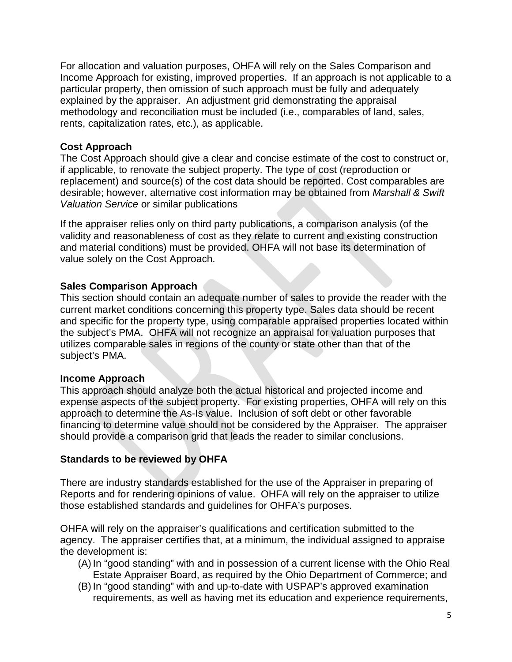For allocation and valuation purposes, OHFA will rely on the Sales Comparison and Income Approach for existing, improved properties. If an approach is not applicable to a particular property, then omission of such approach must be fully and adequately explained by the appraiser. An adjustment grid demonstrating the appraisal methodology and reconciliation must be included (i.e., comparables of land, sales, rents, capitalization rates, etc.), as applicable.

### **Cost Approach**

The Cost Approach should give a clear and concise estimate of the cost to construct or, if applicable, to renovate the subject property. The type of cost (reproduction or replacement) and source(s) of the cost data should be reported. Cost comparables are desirable; however, alternative cost information may be obtained from *Marshall & Swift Valuation Service* or similar publications

If the appraiser relies only on third party publications, a comparison analysis (of the validity and reasonableness of cost as they relate to current and existing construction and material conditions) must be provided. OHFA will not base its determination of value solely on the Cost Approach.

## **Sales Comparison Approach**

This section should contain an adequate number of sales to provide the reader with the current market conditions concerning this property type. Sales data should be recent and specific for the property type, using comparable appraised properties located within the subject's PMA. OHFA will not recognize an appraisal for valuation purposes that utilizes comparable sales in regions of the county or state other than that of the subject's PMA.

## **Income Approach**

This approach should analyze both the actual historical and projected income and expense aspects of the subject property. For existing properties, OHFA will rely on this approach to determine the As-Is value. Inclusion of soft debt or other favorable financing to determine value should not be considered by the Appraiser. The appraiser should provide a comparison grid that leads the reader to similar conclusions.

## **Standards to be reviewed by OHFA**

There are industry standards established for the use of the Appraiser in preparing of Reports and for rendering opinions of value. OHFA will rely on the appraiser to utilize those established standards and guidelines for OHFA's purposes.

OHFA will rely on the appraiser's qualifications and certification submitted to the agency. The appraiser certifies that, at a minimum, the individual assigned to appraise the development is:

- (A) In "good standing" with and in possession of a current license with the Ohio Real Estate Appraiser Board, as required by the Ohio Department of Commerce; and
- (B) In "good standing" with and up-to-date with USPAP's approved examination requirements, as well as having met its education and experience requirements,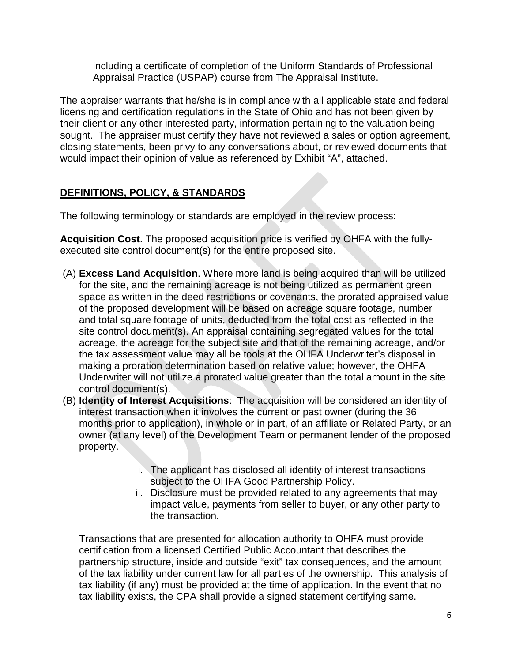including a certificate of completion of the Uniform Standards of Professional Appraisal Practice (USPAP) course from The Appraisal Institute.

The appraiser warrants that he/she is in compliance with all applicable state and federal licensing and certification regulations in the State of Ohio and has not been given by their client or any other interested party, information pertaining to the valuation being sought. The appraiser must certify they have not reviewed a sales or option agreement, closing statements, been privy to any conversations about, or reviewed documents that would impact their opinion of value as referenced by Exhibit "A", attached.

## **DEFINITIONS, POLICY, & STANDARDS**

The following terminology or standards are employed in the review process:

**Acquisition Cost**. The proposed acquisition price is verified by OHFA with the fullyexecuted site control document(s) for the entire proposed site.

- (A) **Excess Land Acquisition**. Where more land is being acquired than will be utilized for the site, and the remaining acreage is not being utilized as permanent green space as written in the deed restrictions or covenants, the prorated appraised value of the proposed development will be based on acreage square footage, number and total square footage of units, deducted from the total cost as reflected in the site control document(s). An appraisal containing segregated values for the total acreage, the acreage for the subject site and that of the remaining acreage, and/or the tax assessment value may all be tools at the OHFA Underwriter's disposal in making a proration determination based on relative value; however, the OHFA Underwriter will not utilize a prorated value greater than the total amount in the site control document(s).
- (B) **Identity of Interest Acquisitions**: The acquisition will be considered an identity of interest transaction when it involves the current or past owner (during the 36 months prior to application), in whole or in part, of an affiliate or Related Party, or an owner (at any level) of the Development Team or permanent lender of the proposed property.
	- i. The applicant has disclosed all identity of interest transactions subject to the OHFA Good Partnership Policy.
	- ii. Disclosure must be provided related to any agreements that may impact value, payments from seller to buyer, or any other party to the transaction.

Transactions that are presented for allocation authority to OHFA must provide certification from a licensed Certified Public Accountant that describes the partnership structure, inside and outside "exit" tax consequences, and the amount of the tax liability under current law for all parties of the ownership. This analysis of tax liability (if any) must be provided at the time of application. In the event that no tax liability exists, the CPA shall provide a signed statement certifying same.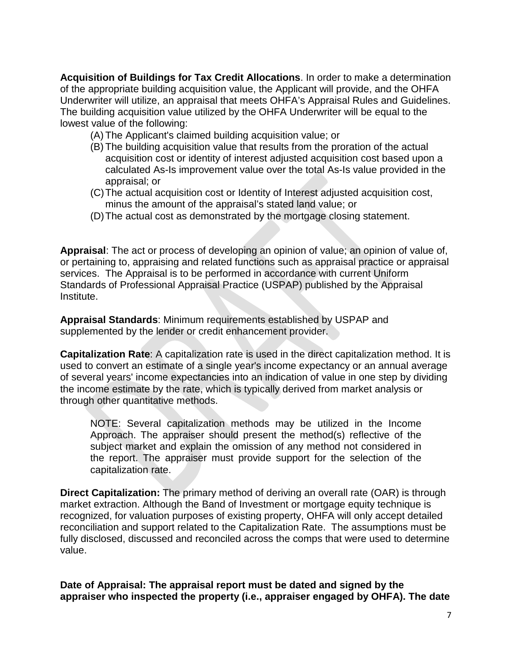**Acquisition of Buildings for Tax Credit Allocations**. In order to make a determination of the appropriate building acquisition value, the Applicant will provide, and the OHFA Underwriter will utilize, an appraisal that meets OHFA's Appraisal Rules and Guidelines. The building acquisition value utilized by the OHFA Underwriter will be equal to the lowest value of the following:

- (A) The Applicant's claimed building acquisition value; or
- (B) The building acquisition value that results from the proration of the actual acquisition cost or identity of interest adjusted acquisition cost based upon a calculated As-Is improvement value over the total As-Is value provided in the appraisal; or
- (C)The actual acquisition cost or Identity of Interest adjusted acquisition cost, minus the amount of the appraisal's stated land value; or
- (D)The actual cost as demonstrated by the mortgage closing statement.

**Appraisal**: The act or process of developing an opinion of value; an opinion of value of, or pertaining to, appraising and related functions such as appraisal practice or appraisal services. The Appraisal is to be performed in accordance with current Uniform Standards of Professional Appraisal Practice (USPAP) published by the Appraisal Institute.

**Appraisal Standards**: Minimum requirements established by USPAP and supplemented by the lender or credit enhancement provider.

**Capitalization Rate**: A capitalization rate is used in the direct capitalization method. It is used to convert an estimate of a single year's income expectancy or an annual average of several years' income expectancies into an indication of value in one step by dividing the income estimate by the rate, which is typically derived from market analysis or through other quantitative methods.

NOTE: Several capitalization methods may be utilized in the Income Approach. The appraiser should present the method(s) reflective of the subject market and explain the omission of any method not considered in the report. The appraiser must provide support for the selection of the capitalization rate.

**Direct Capitalization:** The primary method of deriving an overall rate (OAR) is through market extraction. Although the Band of Investment or mortgage equity technique is recognized, for valuation purposes of existing property, OHFA will only accept detailed reconciliation and support related to the Capitalization Rate. The assumptions must be fully disclosed, discussed and reconciled across the comps that were used to determine value.

**Date of Appraisal: The appraisal report must be dated and signed by the appraiser who inspected the property (i.e., appraiser engaged by OHFA). The date**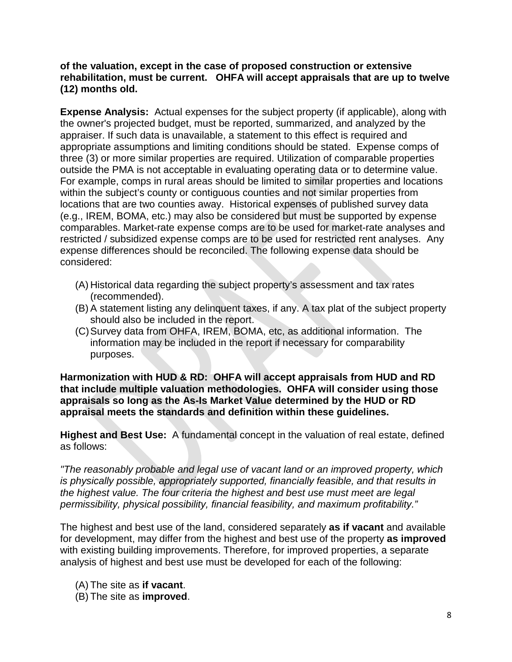**of the valuation, except in the case of proposed construction or extensive rehabilitation, must be current. OHFA will accept appraisals that are up to twelve (12) months old.** 

**Expense Analysis:** Actual expenses for the subject property (if applicable), along with the owner's projected budget, must be reported, summarized, and analyzed by the appraiser. If such data is unavailable, a statement to this effect is required and appropriate assumptions and limiting conditions should be stated. Expense comps of three (3) or more similar properties are required. Utilization of comparable properties outside the PMA is not acceptable in evaluating operating data or to determine value. For example, comps in rural areas should be limited to similar properties and locations within the subject's county or contiguous counties and not similar properties from locations that are two counties away. Historical expenses of published survey data (e.g., IREM, BOMA, etc.) may also be considered but must be supported by expense comparables. Market-rate expense comps are to be used for market-rate analyses and restricted / subsidized expense comps are to be used for restricted rent analyses. Any expense differences should be reconciled. The following expense data should be considered:

- (A) Historical data regarding the subject property's assessment and tax rates (recommended).
- (B) A statement listing any delinquent taxes, if any. A tax plat of the subject property should also be included in the report.
- (C)Survey data from OHFA, IREM, BOMA, etc, as additional information. The information may be included in the report if necessary for comparability purposes.

**Harmonization with HUD & RD: OHFA will accept appraisals from HUD and RD that include multiple valuation methodologies. OHFA will consider using those appraisals so long as the As-Is Market Value determined by the HUD or RD appraisal meets the standards and definition within these guidelines.**

**Highest and Best Use:** A fundamental concept in the valuation of real estate, defined as follows:

*"The reasonably probable and legal use of vacant land or an improved property, which is physically possible, appropriately supported, financially feasible, and that results in the highest value. The four criteria the highest and best use must meet are legal permissibility, physical possibility, financial feasibility, and maximum profitability."*

The highest and best use of the land, considered separately **as if vacant** and available for development, may differ from the highest and best use of the property **as improved**  with existing building improvements. Therefore, for improved properties, a separate analysis of highest and best use must be developed for each of the following:

(A) The site as **if vacant**.

(B) The site as **improved**.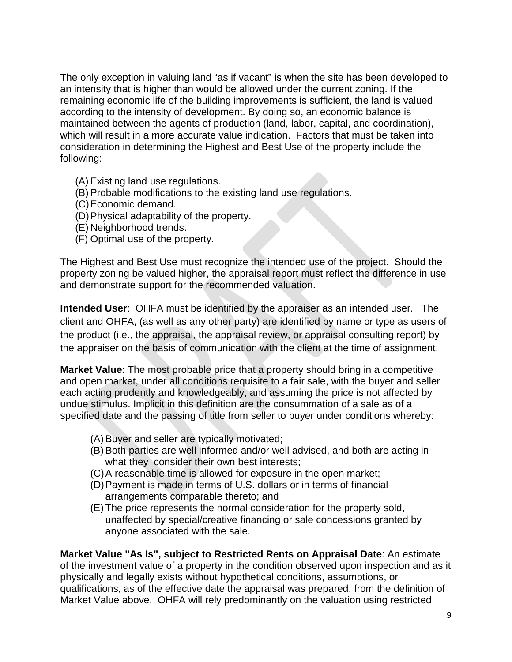The only exception in valuing land "as if vacant" is when the site has been developed to an intensity that is higher than would be allowed under the current zoning. If the remaining economic life of the building improvements is sufficient, the land is valued according to the intensity of development. By doing so, an economic balance is maintained between the agents of production (land, labor, capital, and coordination), which will result in a more accurate value indication. Factors that must be taken into consideration in determining the Highest and Best Use of the property include the following:

- (A) Existing land use regulations.
- (B) Probable modifications to the existing land use regulations.
- (C)Economic demand.
- (D)Physical adaptability of the property.
- (E) Neighborhood trends.
- (F) Optimal use of the property.

The Highest and Best Use must recognize the intended use of the project. Should the property zoning be valued higher, the appraisal report must reflect the difference in use and demonstrate support for the recommended valuation.

**Intended User**: OHFA must be identified by the appraiser as an intended user. The client and OHFA, (as well as any other party) are identified by name or type as users of the product (i.e., the appraisal, the appraisal review, or appraisal consulting report) by the appraiser on the basis of communication with the client at the time of assignment.

**Market Value**: The most probable price that a property should bring in a competitive and open market, under all conditions requisite to a fair sale, with the buyer and seller each acting prudently and knowledgeably, and assuming the price is not affected by undue stimulus. Implicit in this definition are the consummation of a sale as of a specified date and the passing of title from seller to buyer under conditions whereby:

- (A) Buyer and seller are typically motivated;
- (B) Both parties are well informed and/or well advised, and both are acting in what they consider their own best interests;
- (C)A reasonable time is allowed for exposure in the open market;
- (D)Payment is made in terms of U.S. dollars or in terms of financial arrangements comparable thereto; and
- (E) The price represents the normal consideration for the property sold, unaffected by special/creative financing or sale concessions granted by anyone associated with the sale.

**Market Value "As Is", subject to Restricted Rents on Appraisal Date**: An estimate of the investment value of a property in the condition observed upon inspection and as it physically and legally exists without hypothetical conditions, assumptions, or qualifications, as of the effective date the appraisal was prepared, from the definition of Market Value above. OHFA will rely predominantly on the valuation using restricted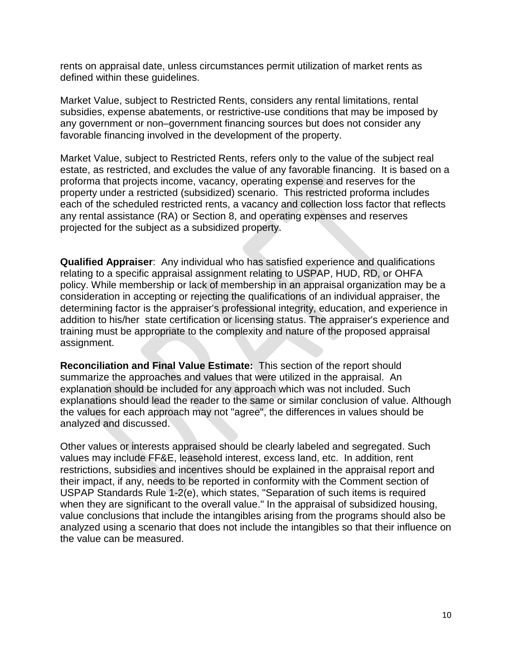rents on appraisal date, unless circumstances permit utilization of market rents as defined within these guidelines.

Market Value, subject to Restricted Rents, considers any rental limitations, rental subsidies, expense abatements, or restrictive-use conditions that may be imposed by any government or non–government financing sources but does not consider any favorable financing involved in the development of the property.

Market Value, subject to Restricted Rents, refers only to the value of the subject real estate, as restricted, and excludes the value of any favorable financing. It is based on a proforma that projects income, vacancy, operating expense and reserves for the property under a restricted (subsidized) scenario. This restricted proforma includes each of the scheduled restricted rents, a vacancy and collection loss factor that reflects any rental assistance (RA) or Section 8, and operating expenses and reserves projected for the subject as a subsidized property.

**Qualified Appraiser**: Any individual who has satisfied experience and qualifications relating to a specific appraisal assignment relating to USPAP, HUD, RD, or OHFA policy. While membership or lack of membership in an appraisal organization may be a consideration in accepting or rejecting the qualifications of an individual appraiser, the determining factor is the appraiser's professional integrity, education, and experience in addition to his/her state certification or licensing status. The appraiser's experience and training must be appropriate to the complexity and nature of the proposed appraisal assignment.

**Reconciliation and Final Value Estimate:** This section of the report should summarize the approaches and values that were utilized in the appraisal. An explanation should be included for any approach which was not included. Such explanations should lead the reader to the same or similar conclusion of value. Although the values for each approach may not "agree", the differences in values should be analyzed and discussed.

Other values or interests appraised should be clearly labeled and segregated. Such values may include FF&E, leasehold interest, excess land, etc. In addition, rent restrictions, subsidies and incentives should be explained in the appraisal report and their impact, if any, needs to be reported in conformity with the Comment section of USPAP Standards Rule 1-2(e), which states, "Separation of such items is required when they are significant to the overall value." In the appraisal of subsidized housing, value conclusions that include the intangibles arising from the programs should also be analyzed using a scenario that does not include the intangibles so that their influence on the value can be measured.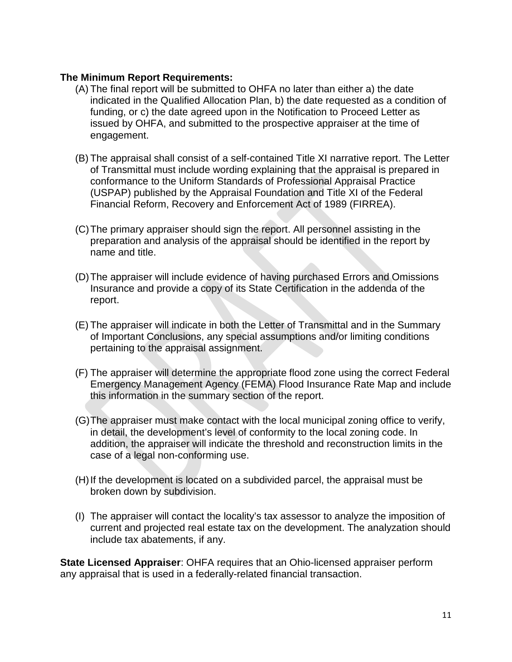### **The Minimum Report Requirements:**

- (A) The final report will be submitted to OHFA no later than either a) the date indicated in the Qualified Allocation Plan, b) the date requested as a condition of funding, or c) the date agreed upon in the Notification to Proceed Letter as issued by OHFA, and submitted to the prospective appraiser at the time of engagement.
- (B) The appraisal shall consist of a self-contained Title XI narrative report. The Letter of Transmittal must include wording explaining that the appraisal is prepared in conformance to the Uniform Standards of Professional Appraisal Practice (USPAP) published by the Appraisal Foundation and Title XI of the Federal Financial Reform, Recovery and Enforcement Act of 1989 (FIRREA).
- (C)The primary appraiser should sign the report. All personnel assisting in the preparation and analysis of the appraisal should be identified in the report by name and title.
- (D)The appraiser will include evidence of having purchased Errors and Omissions Insurance and provide a copy of its State Certification in the addenda of the report.
- (E) The appraiser will indicate in both the Letter of Transmittal and in the Summary of Important Conclusions, any special assumptions and/or limiting conditions pertaining to the appraisal assignment.
- (F) The appraiser will determine the appropriate flood zone using the correct Federal Emergency Management Agency (FEMA) Flood Insurance Rate Map and include this information in the summary section of the report.
- (G)The appraiser must make contact with the local municipal zoning office to verify, in detail, the development's level of conformity to the local zoning code. In addition, the appraiser will indicate the threshold and reconstruction limits in the case of a legal non-conforming use.
- (H)If the development is located on a subdivided parcel, the appraisal must be broken down by subdivision.
- (I) The appraiser will contact the locality's tax assessor to analyze the imposition of current and projected real estate tax on the development. The analyzation should include tax abatements, if any.

**State Licensed Appraiser**: OHFA requires that an Ohio-licensed appraiser perform any appraisal that is used in a federally-related financial transaction.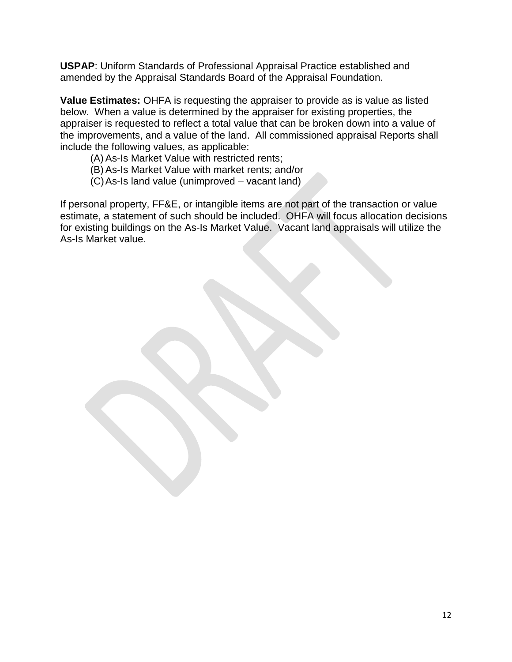**USPAP**: Uniform Standards of Professional Appraisal Practice established and amended by the Appraisal Standards Board of the Appraisal Foundation.

**Value Estimates:** OHFA is requesting the appraiser to provide as is value as listed below. When a value is determined by the appraiser for existing properties, the appraiser is requested to reflect a total value that can be broken down into a value of the improvements, and a value of the land. All commissioned appraisal Reports shall include the following values, as applicable:

- (A) As-Is Market Value with restricted rents;
- (B) As-Is Market Value with market rents; and/or
- (C)As-Is land value (unimproved vacant land)

If personal property, FF&E, or intangible items are not part of the transaction or value estimate, a statement of such should be included. OHFA will focus allocation decisions for existing buildings on the As-Is Market Value. Vacant land appraisals will utilize the As-Is Market value.